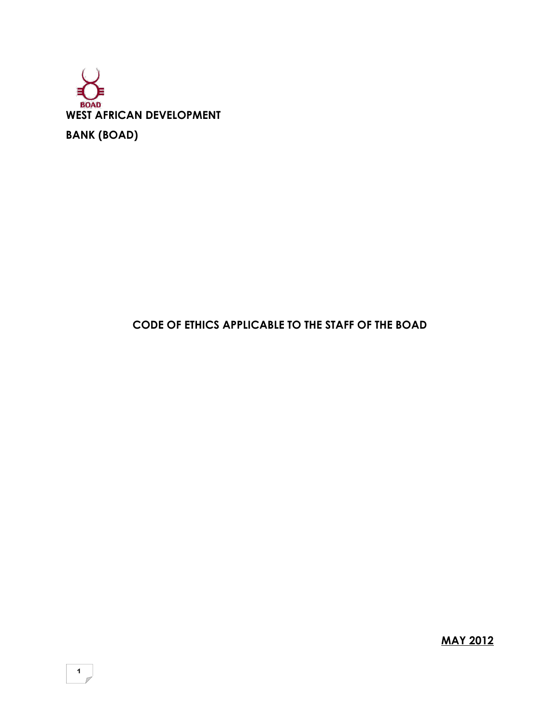

# **CODE OF ETHICS APPLICABLE TO THE STAFF OF THE BOAD**

**MAY 2012**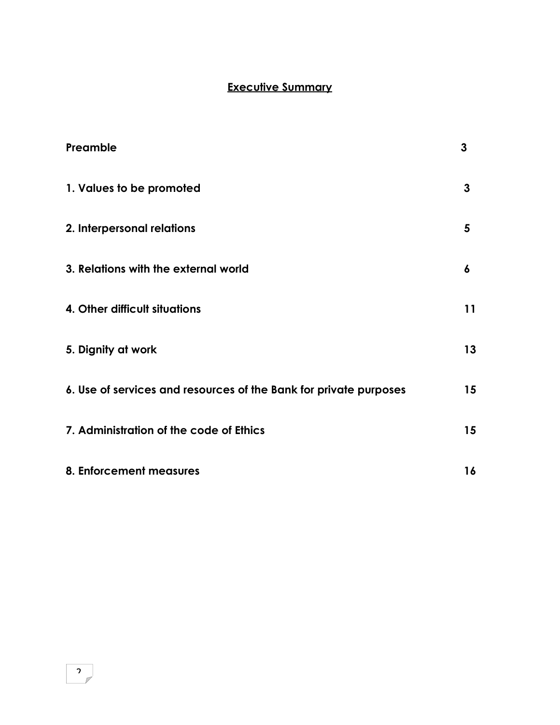# **Executive Summary**

| Preamble                                                          | 3  |
|-------------------------------------------------------------------|----|
| 1. Values to be promoted                                          | 3  |
| 2. Interpersonal relations                                        | 5  |
| 3. Relations with the external world                              | 6  |
| 4. Other difficult situations                                     | 11 |
| 5. Dignity at work                                                | 13 |
| 6. Use of services and resources of the Bank for private purposes | 15 |
| 7. Administration of the code of Ethics                           | 15 |
| 8. Enforcement measures                                           | 16 |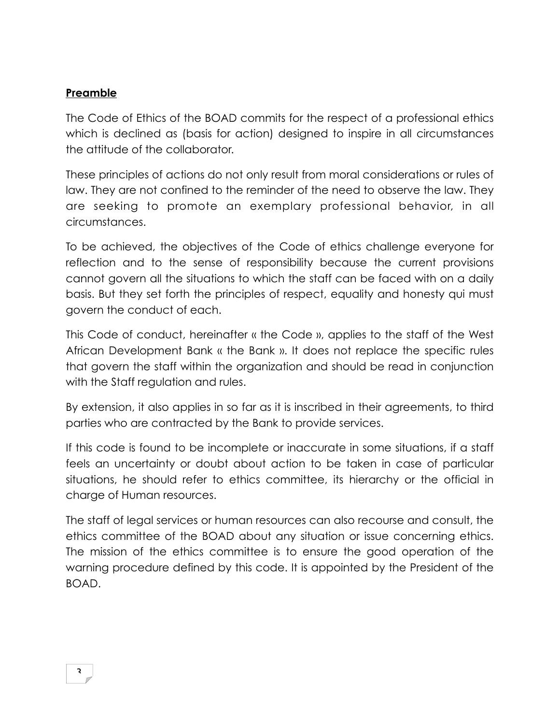#### **Preamble**

The Code of Ethics of the BOAD commits for the respect of a professional ethics which is declined as (basis for action) designed to inspire in all circumstances the attitude of the collaborator.

These principles of actions do not only result from moral considerations or rules of law. They are not confined to the reminder of the need to observe the law. They are seeking to promote an exemplary professional behavior, in all circumstances.

To be achieved, the objectives of the Code of ethics challenge everyone for reflection and to the sense of responsibility because the current provisions cannot govern all the situations to which the staff can be faced with on a daily basis. But they set forth the principles of respect, equality and honesty qui must govern the conduct of each.

This Code of conduct, hereinafter « the Code », applies to the staff of the West African Development Bank « the Bank ». It does not replace the specific rules that govern the staff within the organization and should be read in conjunction with the Staff regulation and rules.

By extension, it also applies in so far as it is inscribed in their agreements, to third parties who are contracted by the Bank to provide services.

If this code is found to be incomplete or inaccurate in some situations, if a staff feels an uncertainty or doubt about action to be taken in case of particular situations, he should refer to ethics committee, its hierarchy or the official in charge of Human resources.

The staff of legal services or human resources can also recourse and consult, the ethics committee of the BOAD about any situation or issue concerning ethics. The mission of the ethics committee is to ensure the good operation of the warning procedure defined by this code. It is appointed by the President of the BOAD.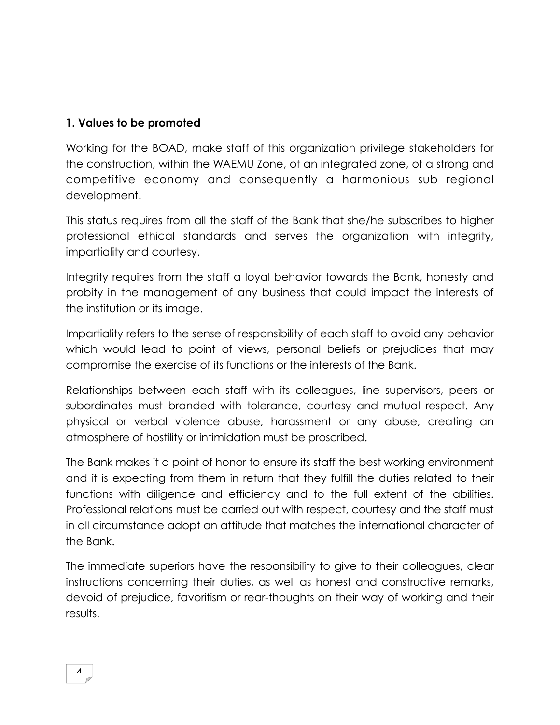### **1. Values to be promoted**

Working for the BOAD, make staff of this organization privilege stakeholders for the construction, within the WAEMU Zone, of an integrated zone, of a strong and competitive economy and consequently a harmonious sub regional development.

This status requires from all the staff of the Bank that she/he subscribes to higher professional ethical standards and serves the organization with integrity, impartiality and courtesy.

Integrity requires from the staff a loyal behavior towards the Bank, honesty and probity in the management of any business that could impact the interests of the institution or its image.

Impartiality refers to the sense of responsibility of each staff to avoid any behavior which would lead to point of views, personal beliefs or prejudices that may compromise the exercise of its functions or the interests of the Bank.

Relationships between each staff with its colleagues, line supervisors, peers or subordinates must branded with tolerance, courtesy and mutual respect. Any physical or verbal violence abuse, harassment or any abuse, creating an atmosphere of hostility or intimidation must be proscribed.

The Bank makes it a point of honor to ensure its staff the best working environment and it is expecting from them in return that they fulfill the duties related to their functions with diligence and efficiency and to the full extent of the abilities. Professional relations must be carried out with respect, courtesy and the staff must in all circumstance adopt an attitude that matches the international character of the Bank.

The immediate superiors have the responsibility to give to their colleagues, clear instructions concerning their duties, as well as honest and constructive remarks, devoid of prejudice, favoritism or rear-thoughts on their way of working and their results.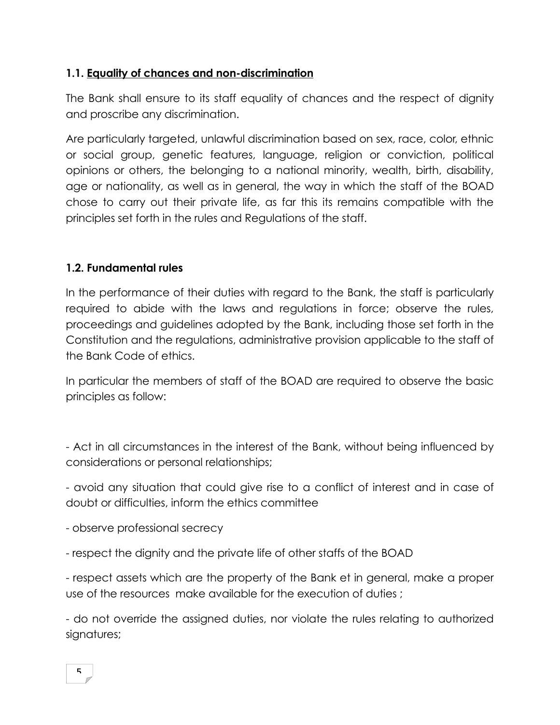### **1.1. Equality of chances and non-discrimination**

The Bank shall ensure to its staff equality of chances and the respect of dignity and proscribe any discrimination.

Are particularly targeted, unlawful discrimination based on sex, race, color, ethnic or social group, genetic features, language, religion or conviction, political opinions or others, the belonging to a national minority, wealth, birth, disability, age or nationality, as well as in general, the way in which the staff of the BOAD chose to carry out their private life, as far this its remains compatible with the principles set forth in the rules and Regulations of the staff.

### **1.2. Fundamental rules**

In the performance of their duties with regard to the Bank, the staff is particularly required to abide with the laws and regulations in force; observe the rules, proceedings and guidelines adopted by the Bank, including those set forth in the Constitution and the regulations, administrative provision applicable to the staff of the Bank Code of ethics.

In particular the members of staff of the BOAD are required to observe the basic principles as follow:

- Act in all circumstances in the interest of the Bank, without being influenced by considerations or personal relationships;

- avoid any situation that could give rise to a conflict of interest and in case of doubt or difficulties, inform the ethics committee

- observe professional secrecy

- respect the dignity and the private life of other staffs of the BOAD

- respect assets which are the property of the Bank et in general, make a proper use of the resources make available for the execution of duties ;

- do not override the assigned duties, nor violate the rules relating to authorized signatures;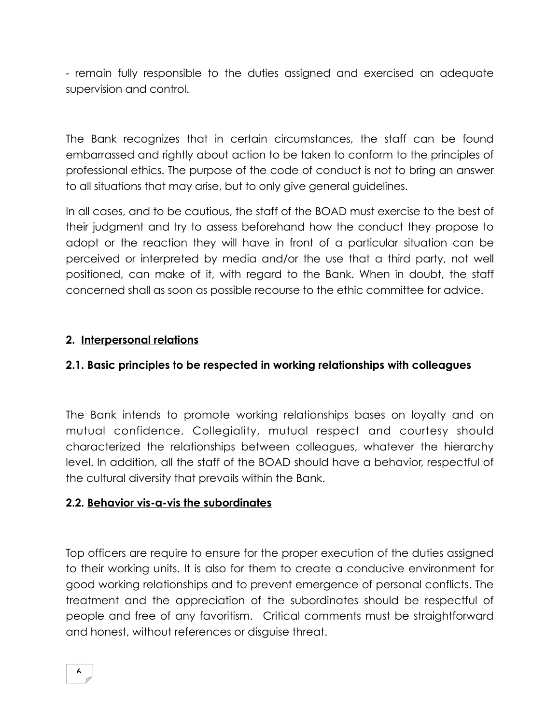- remain fully responsible to the duties assigned and exercised an adequate supervision and control.

The Bank recognizes that in certain circumstances, the staff can be found embarrassed and rightly about action to be taken to conform to the principles of professional ethics. The purpose of the code of conduct is not to bring an answer to all situations that may arise, but to only give general guidelines.

In all cases, and to be cautious, the staff of the BOAD must exercise to the best of their judgment and try to assess beforehand how the conduct they propose to adopt or the reaction they will have in front of a particular situation can be perceived or interpreted by media and/or the use that a third party, not well positioned, can make of it, with regard to the Bank. When in doubt, the staff concerned shall as soon as possible recourse to the ethic committee for advice.

### **2. Interpersonal relations**

### **2.1. Basic principles to be respected in working relationships with colleagues**

The Bank intends to promote working relationships bases on loyalty and on mutual confidence. Collegiality, mutual respect and courtesy should characterized the relationships between colleagues, whatever the hierarchy level. In addition, all the staff of the BOAD should have a behavior, respectful of the cultural diversity that prevails within the Bank.

#### **2.2. Behavior vis-a-vis the subordinates**

Top officers are require to ensure for the proper execution of the duties assigned to their working units. It is also for them to create a conducive environment for good working relationships and to prevent emergence of personal conflicts. The treatment and the appreciation of the subordinates should be respectful of people and free of any favoritism. Critical comments must be straightforward and honest, without references or disguise threat.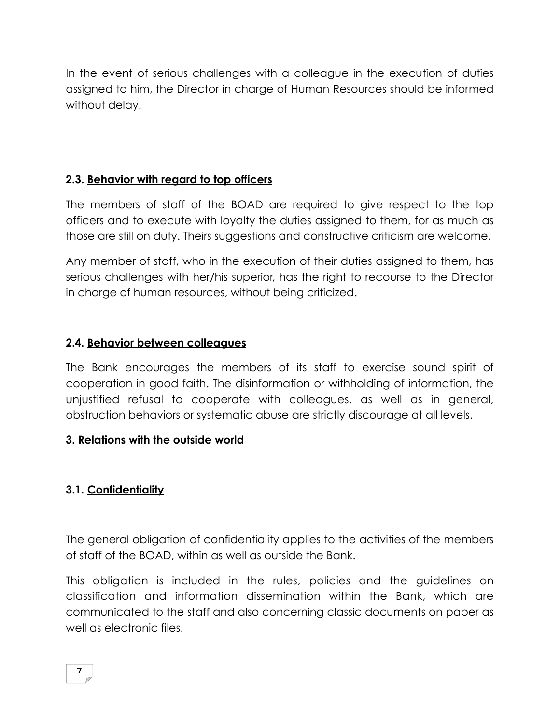In the event of serious challenges with a colleague in the execution of duties assigned to him, the Director in charge of Human Resources should be informed without delay.

## **2.3. Behavior with regard to top officers**

The members of staff of the BOAD are required to give respect to the top officers and to execute with loyalty the duties assigned to them, for as much as those are still on duty. Theirs suggestions and constructive criticism are welcome.

Any member of staff, who in the execution of their duties assigned to them, has serious challenges with her/his superior, has the right to recourse to the Director in charge of human resources, without being criticized.

### **2.4. Behavior between colleagues**

The Bank encourages the members of its staff to exercise sound spirit of cooperation in good faith. The disinformation or withholding of information, the unjustified refusal to cooperate with colleagues, as well as in general, obstruction behaviors or systematic abuse are strictly discourage at all levels.

### **3. Relations with the outside world**

# **3.1. Confidentiality**

The general obligation of confidentiality applies to the activities of the members of staff of the BOAD, within as well as outside the Bank.

This obligation is included in the rules, policies and the guidelines on classification and information dissemination within the Bank, which are communicated to the staff and also concerning classic documents on paper as well as electronic files.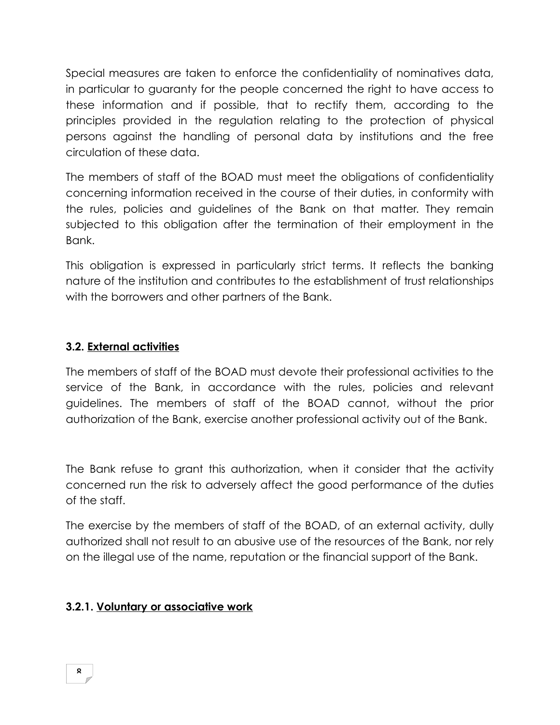Special measures are taken to enforce the confidentiality of nominatives data, in particular to guaranty for the people concerned the right to have access to these information and if possible, that to rectify them, according to the principles provided in the regulation relating to the protection of physical persons against the handling of personal data by institutions and the free circulation of these data.

The members of staff of the BOAD must meet the obligations of confidentiality concerning information received in the course of their duties, in conformity with the rules, policies and guidelines of the Bank on that matter. They remain subjected to this obligation after the termination of their employment in the Bank.

This obligation is expressed in particularly strict terms. It reflects the banking nature of the institution and contributes to the establishment of trust relationships with the borrowers and other partners of the Bank.

### **3.2. External activities**

The members of staff of the BOAD must devote their professional activities to the service of the Bank, in accordance with the rules, policies and relevant guidelines. The members of staff of the BOAD cannot, without the prior authorization of the Bank, exercise another professional activity out of the Bank.

The Bank refuse to grant this authorization, when it consider that the activity concerned run the risk to adversely affect the good performance of the duties of the staff.

The exercise by the members of staff of the BOAD, of an external activity, dully authorized shall not result to an abusive use of the resources of the Bank, nor rely on the illegal use of the name, reputation or the financial support of the Bank.

### **3.2.1. Voluntary or associative work**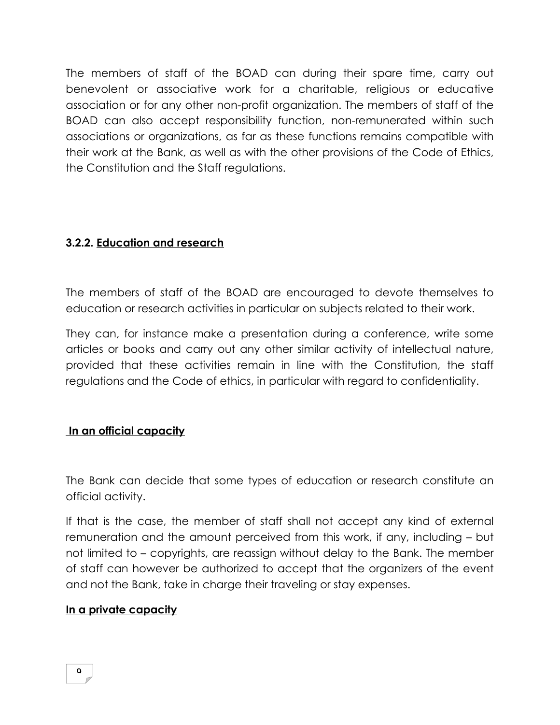The members of staff of the BOAD can during their spare time, carry out benevolent or associative work for a charitable, religious or educative association or for any other non-profit organization. The members of staff of the BOAD can also accept responsibility function, non-remunerated within such associations or organizations, as far as these functions remains compatible with their work at the Bank, as well as with the other provisions of the Code of Ethics, the Constitution and the Staff regulations.

### **3.2.2. Education and research**

The members of staff of the BOAD are encouraged to devote themselves to education or research activities in particular on subjects related to their work.

They can, for instance make a presentation during a conference, write some articles or books and carry out any other similar activity of intellectual nature, provided that these activities remain in line with the Constitution, the staff regulations and the Code of ethics, in particular with regard to confidentiality.

#### **In an official capacity**

The Bank can decide that some types of education or research constitute an official activity.

If that is the case, the member of staff shall not accept any kind of external remuneration and the amount perceived from this work, if any, including – but not limited to – copyrights, are reassign without delay to the Bank. The member of staff can however be authorized to accept that the organizers of the event and not the Bank, take in charge their traveling or stay expenses.

#### **In a private capacity**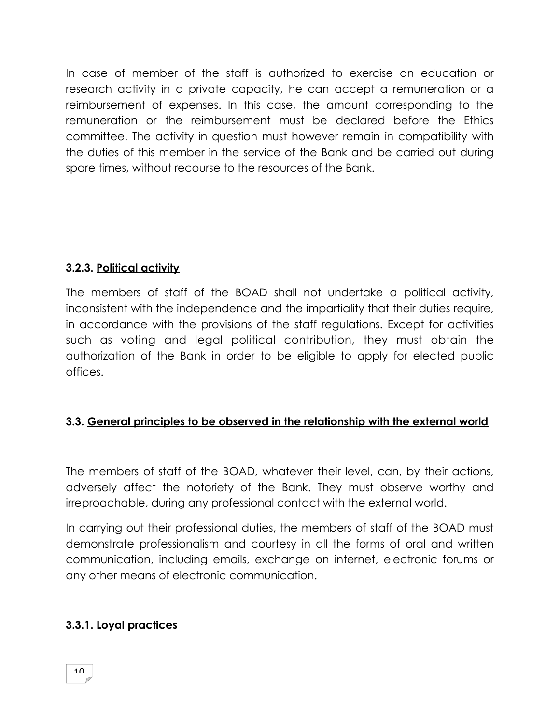In case of member of the staff is authorized to exercise an education or research activity in a private capacity, he can accept a remuneration or a reimbursement of expenses. In this case, the amount corresponding to the remuneration or the reimbursement must be declared before the Ethics committee. The activity in question must however remain in compatibility with the duties of this member in the service of the Bank and be carried out during spare times, without recourse to the resources of the Bank.

# **3.2.3. Political activity**

The members of staff of the BOAD shall not undertake a political activity, inconsistent with the independence and the impartiality that their duties require, in accordance with the provisions of the staff regulations. Except for activities such as voting and legal political contribution, they must obtain the authorization of the Bank in order to be eligible to apply for elected public offices.

### **3.3. General principles to be observed in the relationship with the external world**

The members of staff of the BOAD, whatever their level, can, by their actions, adversely affect the notoriety of the Bank. They must observe worthy and irreproachable, during any professional contact with the external world.

In carrying out their professional duties, the members of staff of the BOAD must demonstrate professionalism and courtesy in all the forms of oral and written communication, including emails, exchange on internet, electronic forums or any other means of electronic communication.

### **3.3.1. Loyal practices**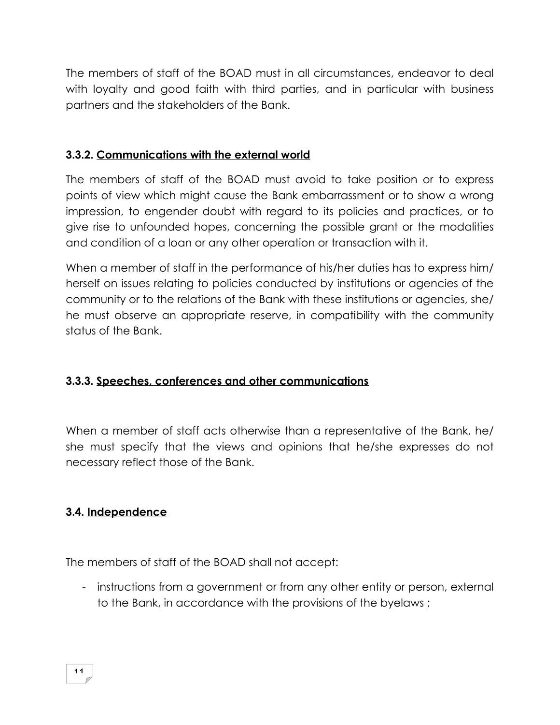The members of staff of the BOAD must in all circumstances, endeavor to deal with loyalty and good faith with third parties, and in particular with business partners and the stakeholders of the Bank.

### **3.3.2. Communications with the external world**

The members of staff of the BOAD must avoid to take position or to express points of view which might cause the Bank embarrassment or to show a wrong impression, to engender doubt with regard to its policies and practices, or to give rise to unfounded hopes, concerning the possible grant or the modalities and condition of a loan or any other operation or transaction with it.

When a member of staff in the performance of his/her duties has to express him/ herself on issues relating to policies conducted by institutions or agencies of the community or to the relations of the Bank with these institutions or agencies, she/ he must observe an appropriate reserve, in compatibility with the community status of the Bank.

### **3.3.3. Speeches, conferences and other communications**

When a member of staff acts otherwise than a representative of the Bank, he/ she must specify that the views and opinions that he/she expresses do not necessary reflect those of the Bank.

### **3.4. Independence**

The members of staff of the BOAD shall not accept:

- instructions from a government or from any other entity or person, external to the Bank, in accordance with the provisions of the byelaws ;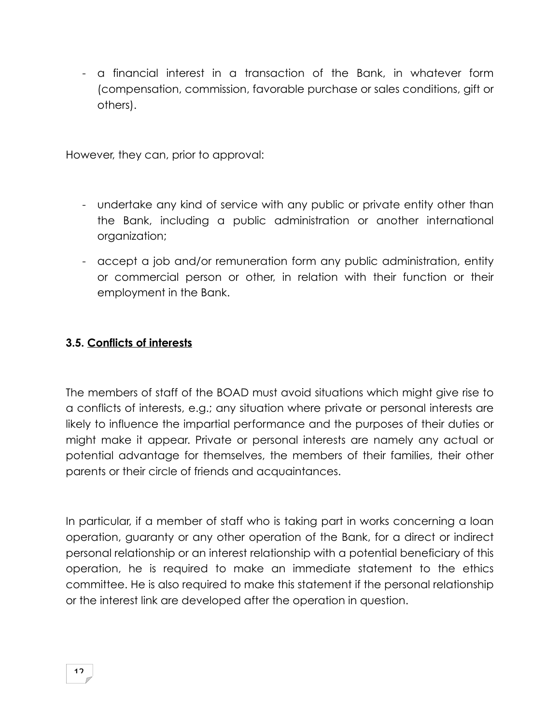- a financial interest in a transaction of the Bank, in whatever form (compensation, commission, favorable purchase or sales conditions, gift or others).

However, they can, prior to approval:

- undertake any kind of service with any public or private entity other than the Bank, including a public administration or another international organization;
- accept a job and/or remuneration form any public administration, entity or commercial person or other, in relation with their function or their employment in the Bank.

#### **3.5. Conflicts of interests**

The members of staff of the BOAD must avoid situations which might give rise to a conflicts of interests, e.g.; any situation where private or personal interests are likely to influence the impartial performance and the purposes of their duties or might make it appear. Private or personal interests are namely any actual or potential advantage for themselves, the members of their families, their other parents or their circle of friends and acquaintances.

In particular, if a member of staff who is taking part in works concerning a loan operation, guaranty or any other operation of the Bank, for a direct or indirect personal relationship or an interest relationship with a potential beneficiary of this operation, he is required to make an immediate statement to the ethics committee. He is also required to make this statement if the personal relationship or the interest link are developed after the operation in question.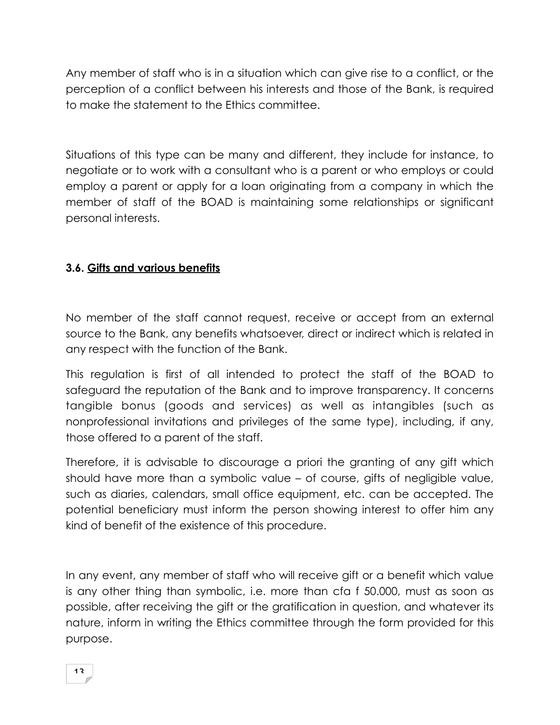Any member of staff who is in a situation which can give rise to a conflict, or the perception of a conflict between his interests and those of the Bank, is required to make the statement to the Ethics committee.

Situations of this type can be many and different, they include for instance, to negotiate or to work with a consultant who is a parent or who employs or could employ a parent or apply for a loan originating from a company in which the member of staff of the BOAD is maintaining some relationships or significant personal interests.

### **3.6. Gifts and various benefits**

No member of the staff cannot request, receive or accept from an external source to the Bank, any benefits whatsoever, direct or indirect which is related in any respect with the function of the Bank.

This regulation is first of all intended to protect the staff of the BOAD to safeguard the reputation of the Bank and to improve transparency. It concerns tangible bonus (goods and services) as well as intangibles (such as nonprofessional invitations and privileges of the same type), including, if any, those offered to a parent of the staff.

Therefore, it is advisable to discourage a priori the granting of any gift which should have more than a symbolic value – of course, gifts of negligible value, such as diaries, calendars, small office equipment, etc. can be accepted. The potential beneficiary must inform the person showing interest to offer him any kind of benefit of the existence of this procedure.

In any event, any member of staff who will receive gift or a benefit which value is any other thing than symbolic, i.e. more than cfa f 50.000, must as soon as possible, after receiving the gift or the gratification in question, and whatever its nature, inform in writing the Ethics committee through the form provided for this purpose.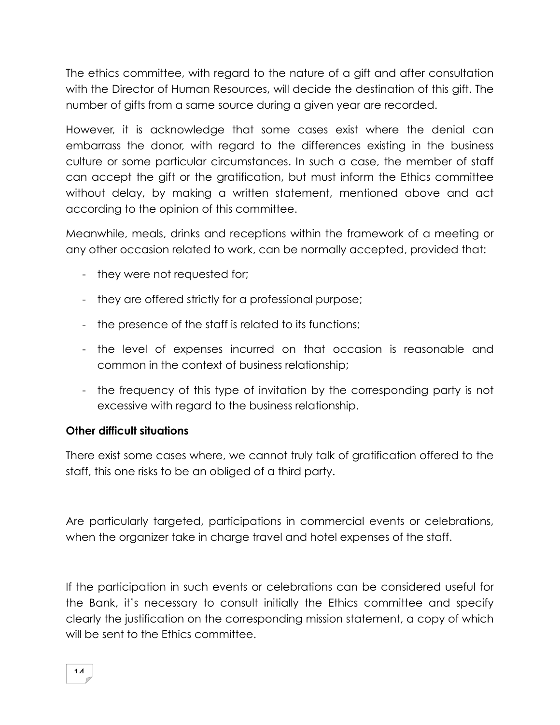The ethics committee, with regard to the nature of a gift and after consultation with the Director of Human Resources, will decide the destination of this gift. The number of gifts from a same source during a given year are recorded.

However, it is acknowledge that some cases exist where the denial can embarrass the donor, with regard to the differences existing in the business culture or some particular circumstances. In such a case, the member of staff can accept the gift or the gratification, but must inform the Ethics committee without delay, by making a written statement, mentioned above and act according to the opinion of this committee.

Meanwhile, meals, drinks and receptions within the framework of a meeting or any other occasion related to work, can be normally accepted, provided that:

- they were not requested for;
- they are offered strictly for a professional purpose;
- the presence of the staff is related to its functions;
- the level of expenses incurred on that occasion is reasonable and common in the context of business relationship;
- the frequency of this type of invitation by the corresponding party is not excessive with regard to the business relationship.

#### **Other difficult situations**

There exist some cases where, we cannot truly talk of gratification offered to the staff, this one risks to be an obliged of a third party.

Are particularly targeted, participations in commercial events or celebrations, when the organizer take in charge travel and hotel expenses of the staff.

If the participation in such events or celebrations can be considered useful for the Bank, it's necessary to consult initially the Ethics committee and specify clearly the justification on the corresponding mission statement, a copy of which will be sent to the Ethics committee.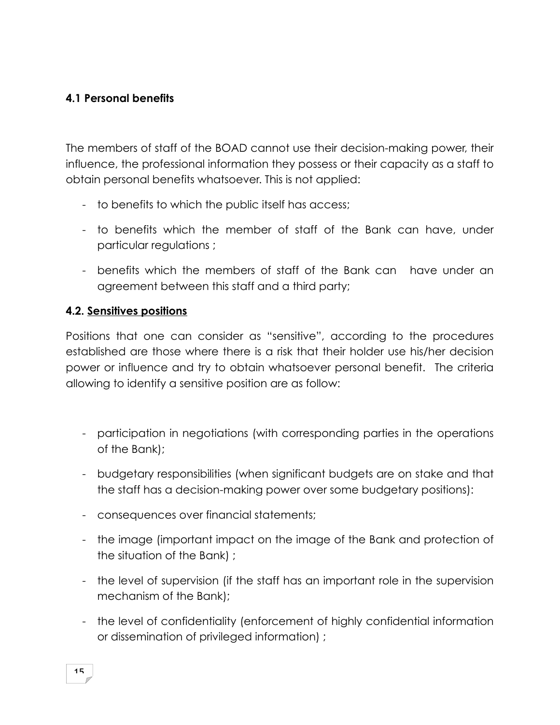### **4.1 Personal benefits**

The members of staff of the BOAD cannot use their decision-making power, their influence, the professional information they possess or their capacity as a staff to obtain personal benefits whatsoever. This is not applied:

- to benefits to which the public itself has access;
- to benefits which the member of staff of the Bank can have, under particular regulations ;
- benefits which the members of staff of the Bank can have under an agreement between this staff and a third party;

#### **4.2. Sensitives positions**

Positions that one can consider as "sensitive", according to the procedures established are those where there is a risk that their holder use his/her decision power or influence and try to obtain whatsoever personal benefit. The criteria allowing to identify a sensitive position are as follow:

- participation in negotiations (with corresponding parties in the operations of the Bank);
- budgetary responsibilities (when significant budgets are on stake and that the staff has a decision-making power over some budgetary positions):
- consequences over financial statements;
- the image (important impact on the image of the Bank and protection of the situation of the Bank) ;
- the level of supervision (if the staff has an important role in the supervision mechanism of the Bank);
- the level of confidentiality (enforcement of highly confidential information or dissemination of privileged information) ;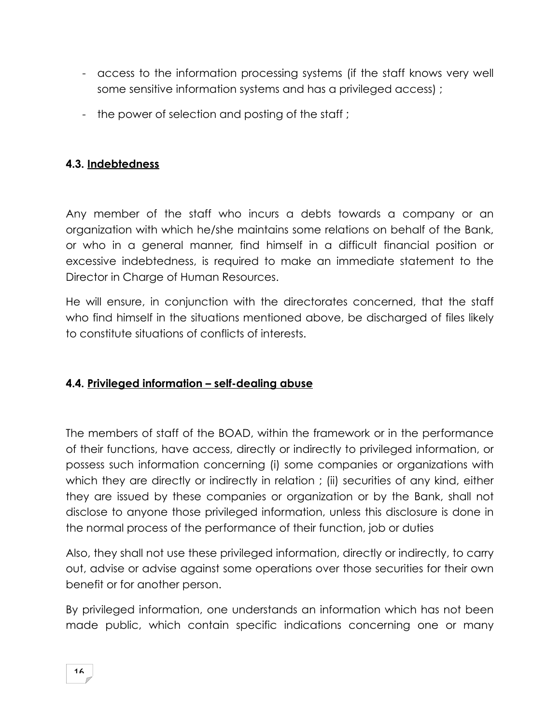- access to the information processing systems (if the staff knows very well some sensitive information systems and has a privileged access) ;
- the power of selection and posting of the staff;

# **4.3. Indebtedness**

Any member of the staff who incurs a debts towards a company or an organization with which he/she maintains some relations on behalf of the Bank, or who in a general manner, find himself in a difficult financial position or excessive indebtedness, is required to make an immediate statement to the Director in Charge of Human Resources.

He will ensure, in conjunction with the directorates concerned, that the staff who find himself in the situations mentioned above, be discharged of files likely to constitute situations of conflicts of interests.

### **4.4. Privileged information – self-dealing abuse**

The members of staff of the BOAD, within the framework or in the performance of their functions, have access, directly or indirectly to privileged information, or possess such information concerning (i) some companies or organizations with which they are directly or indirectly in relation; (ii) securities of any kind, either they are issued by these companies or organization or by the Bank, shall not disclose to anyone those privileged information, unless this disclosure is done in the normal process of the performance of their function, job or duties

Also, they shall not use these privileged information, directly or indirectly, to carry out, advise or advise against some operations over those securities for their own benefit or for another person.

By privileged information, one understands an information which has not been made public, which contain specific indications concerning one or many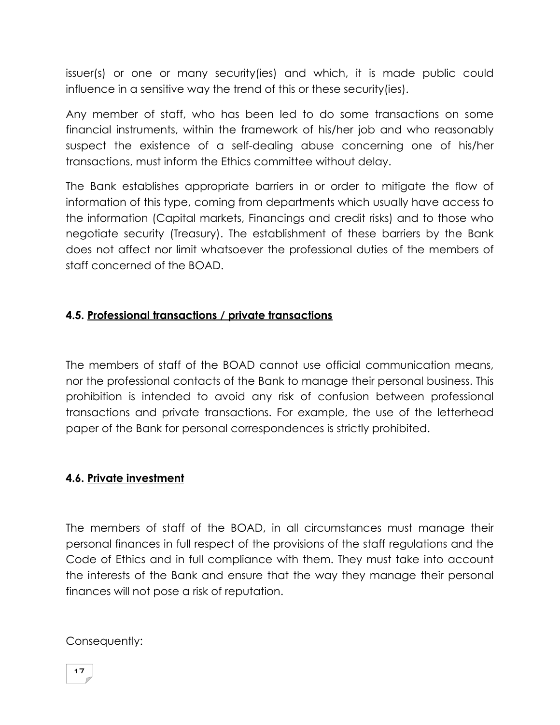issuer(s) or one or many security(ies) and which, it is made public could influence in a sensitive way the trend of this or these security(ies).

Any member of staff, who has been led to do some transactions on some financial instruments, within the framework of his/her job and who reasonably suspect the existence of a self-dealing abuse concerning one of his/her transactions, must inform the Ethics committee without delay.

The Bank establishes appropriate barriers in or order to mitigate the flow of information of this type, coming from departments which usually have access to the information (Capital markets, Financings and credit risks) and to those who negotiate security (Treasury). The establishment of these barriers by the Bank does not affect nor limit whatsoever the professional duties of the members of staff concerned of the BOAD.

# **4.5. Professional transactions / private transactions**

The members of staff of the BOAD cannot use official communication means, nor the professional contacts of the Bank to manage their personal business. This prohibition is intended to avoid any risk of confusion between professional transactions and private transactions. For example, the use of the letterhead paper of the Bank for personal correspondences is strictly prohibited.

#### **4.6. Private investment**

The members of staff of the BOAD, in all circumstances must manage their personal finances in full respect of the provisions of the staff regulations and the Code of Ethics and in full compliance with them. They must take into account the interests of the Bank and ensure that the way they manage their personal finances will not pose a risk of reputation.

Consequently: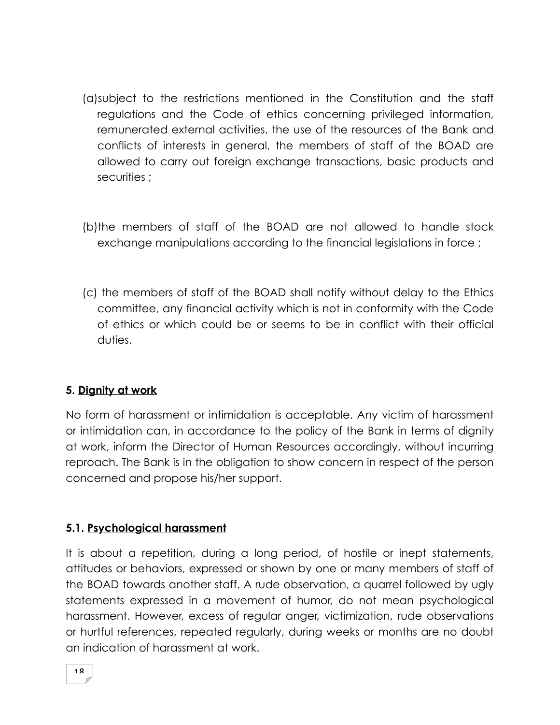- (a)subject to the restrictions mentioned in the Constitution and the staff regulations and the Code of ethics concerning privileged information, remunerated external activities, the use of the resources of the Bank and conflicts of interests in general, the members of staff of the BOAD are allowed to carry out foreign exchange transactions, basic products and securities ;
- (b)the members of staff of the BOAD are not allowed to handle stock exchange manipulations according to the financial legislations in force ;
- (c) the members of staff of the BOAD shall notify without delay to the Ethics committee, any financial activity which is not in conformity with the Code of ethics or which could be or seems to be in conflict with their official duties.

# **5. Dignity at work**

No form of harassment or intimidation is acceptable. Any victim of harassment or intimidation can, in accordance to the policy of the Bank in terms of dignity at work, inform the Director of Human Resources accordingly, without incurring reproach. The Bank is in the obligation to show concern in respect of the person concerned and propose his/her support.

### **5.1. Psychological harassment**

It is about a repetition, during a long period, of hostile or inept statements, attitudes or behaviors, expressed or shown by one or many members of staff of the BOAD towards another staff. A rude observation, a quarrel followed by ugly statements expressed in a movement of humor, do not mean psychological harassment. However, excess of regular anger, victimization, rude observations or hurtful references, repeated regularly, during weeks or months are no doubt an indication of harassment at work.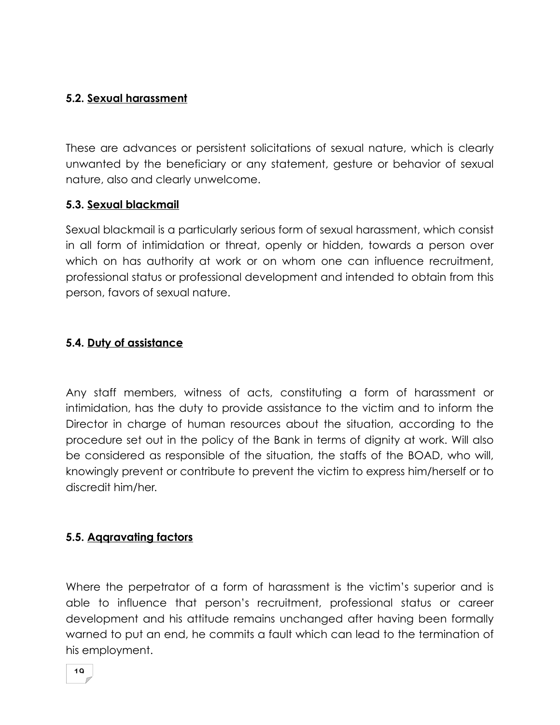### **5.2. Sexual harassment**

These are advances or persistent solicitations of sexual nature, which is clearly unwanted by the beneficiary or any statement, gesture or behavior of sexual nature, also and clearly unwelcome.

#### **5.3. Sexual blackmail**

Sexual blackmail is a particularly serious form of sexual harassment, which consist in all form of intimidation or threat, openly or hidden, towards a person over which on has authority at work or on whom one can influence recruitment, professional status or professional development and intended to obtain from this person, favors of sexual nature.

#### **5.4. Duty of assistance**

Any staff members, witness of acts, constituting a form of harassment or intimidation, has the duty to provide assistance to the victim and to inform the Director in charge of human resources about the situation, according to the procedure set out in the policy of the Bank in terms of dignity at work. Will also be considered as responsible of the situation, the staffs of the BOAD, who will, knowingly prevent or contribute to prevent the victim to express him/herself or to discredit him/her.

### **5.5. Aqqravating factors**

Where the perpetrator of a form of harassment is the victim's superior and is able to influence that person's recruitment, professional status or career development and his attitude remains unchanged after having been formally warned to put an end, he commits a fault which can lead to the termination of his employment.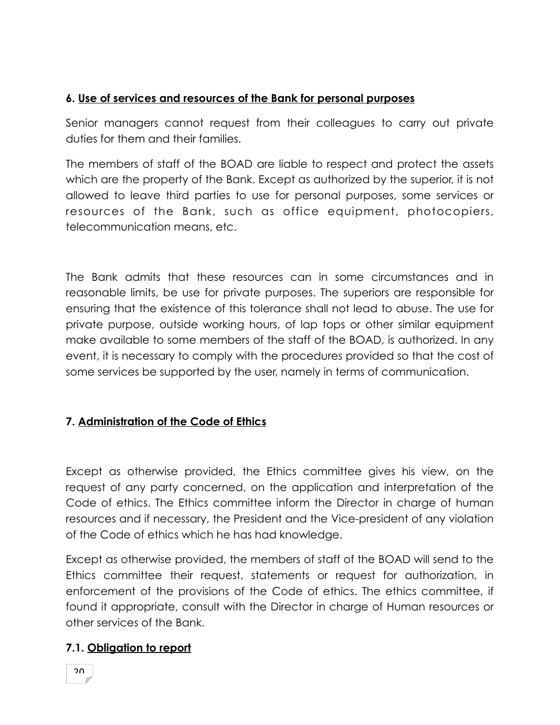## **6. Use of services and resources of the Bank for personal purposes**

Senior managers cannot request from their colleagues to carry out private duties for them and their families.

The members of staff of the BOAD are liable to respect and protect the assets which are the property of the Bank. Except as authorized by the superior, it is not allowed to leave third parties to use for personal purposes, some services or resources of the Bank, such as office equipment, photocopiers, telecommunication means, etc.

The Bank admits that these resources can in some circumstances and in reasonable limits, be use for private purposes. The superiors are responsible for ensuring that the existence of this tolerance shall not lead to abuse. The use for private purpose, outside working hours, of lap tops or other similar equipment make available to some members of the staff of the BOAD, is authorized. In any event, it is necessary to comply with the procedures provided so that the cost of some services be supported by the user, namely in terms of communication.

### **7. Administration of the Code of Ethics**

Except as otherwise provided, the Ethics committee gives his view, on the request of any party concerned, on the application and interpretation of the Code of ethics. The Ethics committee inform the Director in charge of human resources and if necessary, the President and the Vice-president of any violation of the Code of ethics which he has had knowledge.

Except as otherwise provided, the members of staff of the BOAD will send to the Ethics committee their request, statements or request for authorization, in enforcement of the provisions of the Code of ethics. The ethics committee, if found it appropriate, consult with the Director in charge of Human resources or other services of the Bank.

### **7.1. Obligation to report**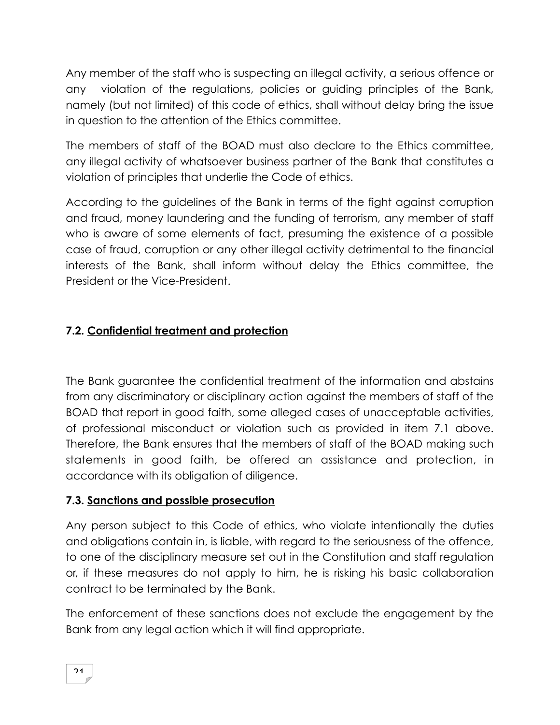Any member of the staff who is suspecting an illegal activity, a serious offence or any violation of the regulations, policies or guiding principles of the Bank, namely (but not limited) of this code of ethics, shall without delay bring the issue in question to the attention of the Ethics committee.

The members of staff of the BOAD must also declare to the Ethics committee, any illegal activity of whatsoever business partner of the Bank that constitutes a violation of principles that underlie the Code of ethics.

According to the guidelines of the Bank in terms of the fight against corruption and fraud, money laundering and the funding of terrorism, any member of staff who is aware of some elements of fact, presuming the existence of a possible case of fraud, corruption or any other illegal activity detrimental to the financial interests of the Bank, shall inform without delay the Ethics committee, the President or the Vice-President.

# **7.2. Confidential treatment and protection**

The Bank guarantee the confidential treatment of the information and abstains from any discriminatory or disciplinary action against the members of staff of the BOAD that report in good faith, some alleged cases of unacceptable activities, of professional misconduct or violation such as provided in item 7.1 above. Therefore, the Bank ensures that the members of staff of the BOAD making such statements in good faith, be offered an assistance and protection, in accordance with its obligation of diligence.

### **7.3. Sanctions and possible prosecution**

Any person subject to this Code of ethics, who violate intentionally the duties and obligations contain in, is liable, with regard to the seriousness of the offence, to one of the disciplinary measure set out in the Constitution and staff regulation or, if these measures do not apply to him, he is risking his basic collaboration contract to be terminated by the Bank.

The enforcement of these sanctions does not exclude the engagement by the Bank from any legal action which it will find appropriate.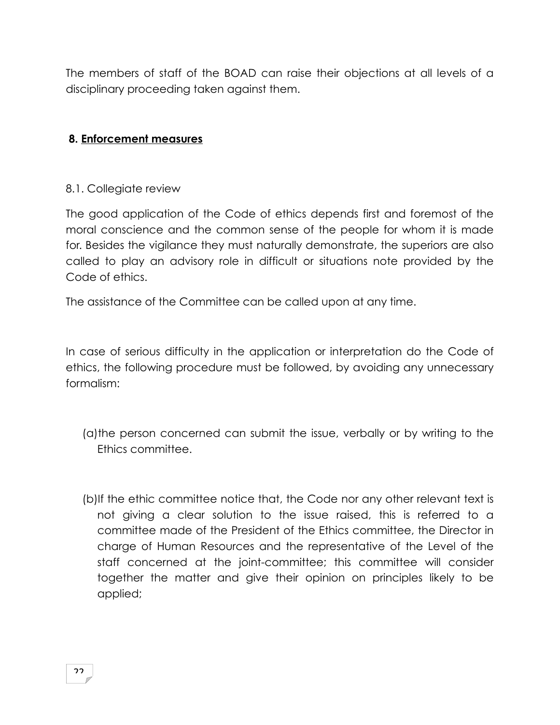The members of staff of the BOAD can raise their objections at all levels of a disciplinary proceeding taken against them.

### **8. Enforcement measures**

#### 8.1. Collegiate review

The good application of the Code of ethics depends first and foremost of the moral conscience and the common sense of the people for whom it is made for. Besides the vigilance they must naturally demonstrate, the superiors are also called to play an advisory role in difficult or situations note provided by the Code of ethics.

The assistance of the Committee can be called upon at any time.

In case of serious difficulty in the application or interpretation do the Code of ethics, the following procedure must be followed, by avoiding any unnecessary formalism:

- (a)the person concerned can submit the issue, verbally or by writing to the Ethics committee.
- (b)If the ethic committee notice that, the Code nor any other relevant text is not giving a clear solution to the issue raised, this is referred to a committee made of the President of the Ethics committee, the Director in charge of Human Resources and the representative of the Level of the staff concerned at the joint-committee; this committee will consider together the matter and give their opinion on principles likely to be applied;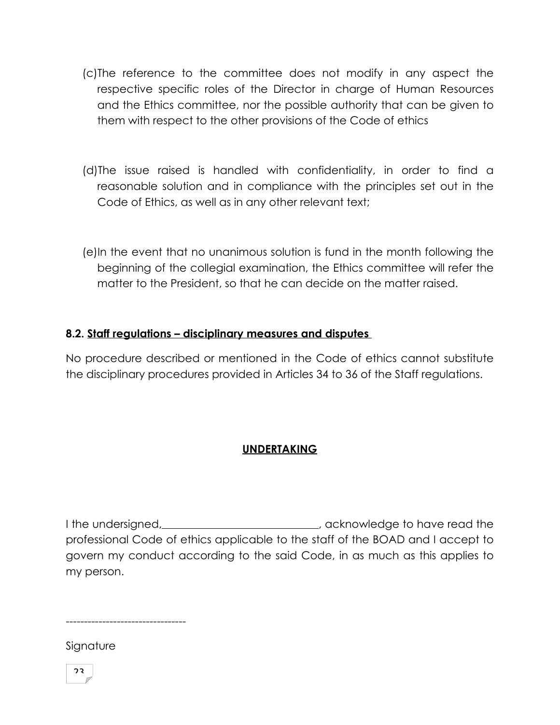- (c)The reference to the committee does not modify in any aspect the respective specific roles of the Director in charge of Human Resources and the Ethics committee, nor the possible authority that can be given to them with respect to the other provisions of the Code of ethics
- (d)The issue raised is handled with confidentiality, in order to find a reasonable solution and in compliance with the principles set out in the Code of Ethics, as well as in any other relevant text;
- (e)In the event that no unanimous solution is fund in the month following the beginning of the collegial examination, the Ethics committee will refer the matter to the President, so that he can decide on the matter raised.

### **8.2. Staff regulations – disciplinary measures and disputes**

No procedure described or mentioned in the Code of ethics cannot substitute the disciplinary procedures provided in Articles 34 to 36 of the Staff regulations.

### **UNDERTAKING**

I the undersigned, \_\_\_\_\_\_\_\_\_\_\_\_\_\_\_\_\_\_\_\_\_\_\_\_\_\_, acknowledge to have read the professional Code of ethics applicable to the staff of the BOAD and I accept to govern my conduct according to the said Code, in as much as this applies to my person.

---------------------------------

Signature